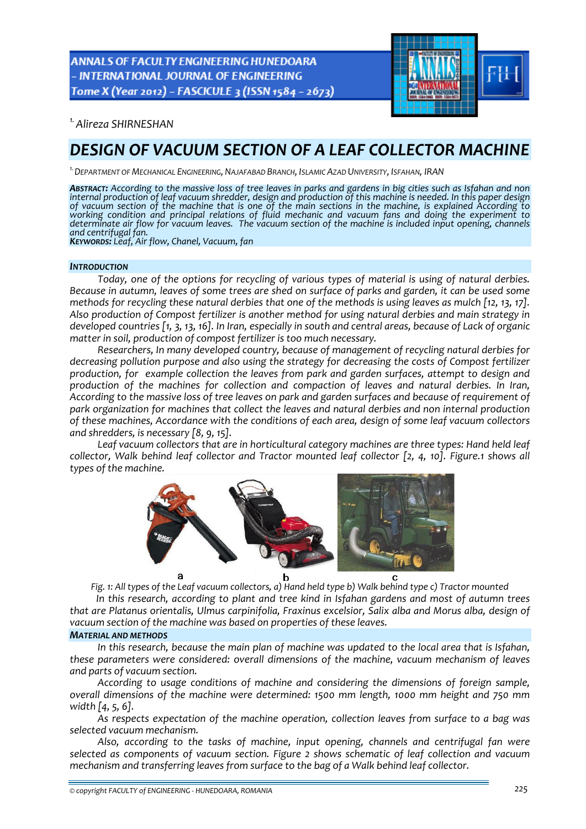ANNALS OF FACULTY ENGINEERING HUNEDOARA - INTERNATIONAL JOURNAL OF ENGINEERING Tome X (Year 2012) - FASCICULE 3 (ISSN 1584 - 2673)



*1.Alireza SHIRNESHAN* 

# *DESIGN OF VACUUM SECTION OF A LEAF COLLECTOR MACHINE*

*1.DEPARTMENT OF MECHANICAL ENGINEERING, NAJAFABAD BRANCH, ISLAMIC AZAD UNIVERSITY, ISFAHAN, IRAN*

ABSTRACT: According to the massive loss of tree leaves in parks and gardens in big cities such as Isfahan and non internal production of leaf vacuum shredder, design and production of this machine is needed. In this paper internal production of leaf vacuum shredder, design and production of this machine is needed. In this paper design<br>of vacuum section of the machine that is one of the main sections in the machine, is explained According to *working condition and principal relations of fluid mechanic and vacuum fans and doing the experiment to* determinate air flow for vacuum leaves. The vacuum section of the machine is included input opening, channels *and centrifugal fan. KEYWORDS: Leaf, Air flow, Chanel, Vacuum, fan*

#### *INTRODUCTION*

*Today, one of the options for recycling of various types of material is using of natural derbies.* Because in autumn, leaves of some trees are shed on surface of parks and garden, it can be used some methods for recycling these natural derbies that one of the methods is using leaves as mulch [12, 13, 17]. *Also production of Compost fertilizer is another method for using natural derbies and main strategy in* developed countries [1, 3, 13, 16]. In Iran, especially in south and central areas, because of Lack of organic *matter in soil, production of compost fertilizer is too much necessary.*

*Researchers, In many developed country, because of management of recycling natural derbies for decreasing pollution purpose and also using the strategy for decreasing the costs of Compost fertilizer production, for example collection the leaves from park and garden surfaces, attempt to design and production of the machines for collection and compaction of leaves and natural derbies. In Iran,* According to the massive loss of tree leaves on park and garden surfaces and because of requirement of *park organization for machines that collect the leaves and natural derbies and non internal production of these machines, Accordance with the conditions of each area, design of some leaf vacuum collectors and shredders, is necessary [8, 9, 15].*

*Leaf vacuum collectors that are in horticultural category machines are three types: Hand held leaf collector, Walk behind leaf collector and Tractor mounted leaf collector [2, 4, 10]. Figure.1 shows all types of the machine.* 



Fig. 1: All types of the Leaf vacuum collectors, a) Hand held type b) Walk behind type c) Tractor mounted

*In this research, according to plant and tree kind in Isfahan gardens and most of autumn trees that are Platanus orientalis, Ulmus carpinifolia, Fraxinus excelsior, Salix alba and Morus alba, design of vacuum section of the machine was based on properties of these leaves.*

#### *MATERIAL AND METHODS*

*In this research, because the main plan of machine was updated to the local area that is Isfahan, these parameters were considered: overall dimensions of the machine, vacuum mechanism of leaves and parts of vacuum section.* 

*According to usage conditions of machine and considering the dimensions of foreign sample, overall dimensions of the machine were determined: 1500 mm length, 1000 mm height and 750 mm width [4, 5, 6].*

*As respects expectation of the machine operation, collection leaves from surface to a bag was selected vacuum mechanism.* 

*Also, according to the tasks of machine, input opening, channels and centrifugal fan were selected as components of vacuum section. Figure 2 shows schematic of leaf collection and vacuum mechanism and transferring leaves from surface to the bag of a Walk behind leaf collector.*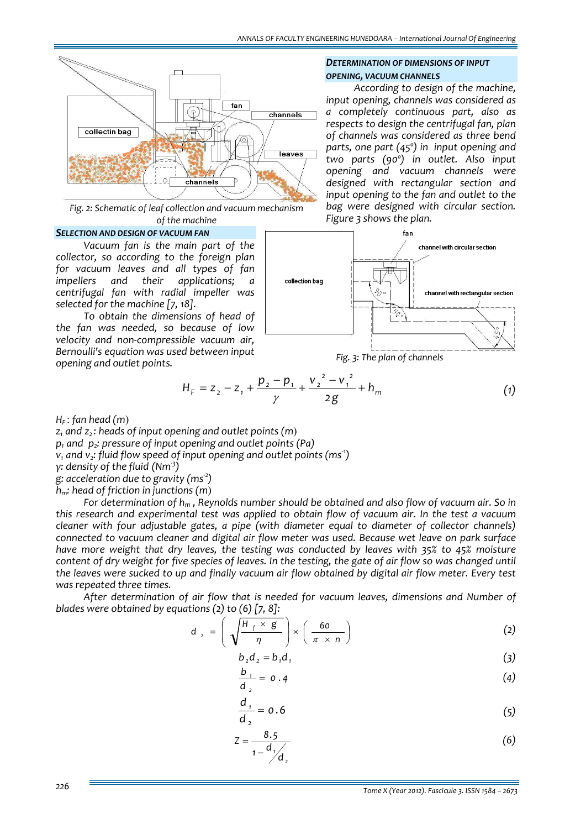

*Fig. 2: Schematic of leaf collection and vacuum mechanism of the machine*

#### *SELECTION AND DESIGN OF VACUUM FAN*

*Vacuum fan is the main part of the collector, so according to the foreign plan for vacuum leaves and all types of fan impellers and their applications; a centrifugal fan with radial impeller was selected for the machine [7, 18].* 

*To obtain the dimensions of head of the fan was needed, so because of low velocity and non‐compressible vacuum air, Bernoulli's equation was used between input opening and outlet points.* 

### *DETERMINATION OF DIMENSIONS OF INPUT OPENING, VACUUM CHANNELS*

*According to design of the machine, input opening, channels was considered as a completely continuous part, also as respects to design the centrifugal fan, plan of channels was considered as three bend parts, one part (45º) in input opening and two parts (90º) in outlet. Also input opening and vacuum channels were designed with rectangular section and input opening to the fan and outlet to the bag were designed with circular section. Figure 3 shows the plan.*



*Fig. 3: The plan of channels*

$$
H_F = Z_2 - Z_1 + \frac{p_2 - p_1}{\gamma} + \frac{{v_2}^2 - {v_1}^2}{2g} + h_m
$$
 (1)

*HF* : *fan head (m*)

 $z_1$  *and*  $z_2$ *: heads of input opening and outlet points (m)* 

*p1 and p2: pressure of input opening and outlet points (Pa)*

*v1 and v2: fluid flow speed of input opening and outlet points (ms‐<sup>1</sup> )*

*γ: density of the fluid (Nm‐<sup>3</sup> )*

*g: acceleration due to gravity (ms‐<sup>2</sup> )*

*hm: head of friction in junctions (m*)

*For determination of hm , Reynolds number should be obtained and also flow of vacuum air. So in this research and experimental test was applied to obtain flow of vacuum air. In the test a vacuum cleaner with four adjustable gates, a pipe (with diameter equal to diameter of collector channels) connected to vacuum cleaner and digital air flow meter was used. Because wet leave on park surface have more weight that dry leaves, the testing was conducted by leaves with 35% to 45% moisture* content of dry weight for five species of leaves. In the testing, the gate of air flow so was changed until the leaves were sucked to up and finally vacuum air flow obtained by digital air flow meter. Every test *was repeated three times.* 

*After determination of air flow that is needed for vacuum leaves, dimensions and Number of blades were obtained by equations (2) to (6) [7, 8]:*

$$
d_2 = \left(\sqrt{\frac{H_f \times g}{\eta}}\right) \times \left(\frac{60}{\pi \times n}\right)
$$
 (2)

$$
b_2 d_2 = b_1 d_1 \tag{3}
$$

$$
\frac{b_1}{d_2} = 0.4 \tag{4}
$$

$$
\frac{d_1}{d_2} = 0.6\tag{5}
$$

$$
Z = \frac{8.5}{1 - \frac{d_1}{d_2}}
$$
 (6)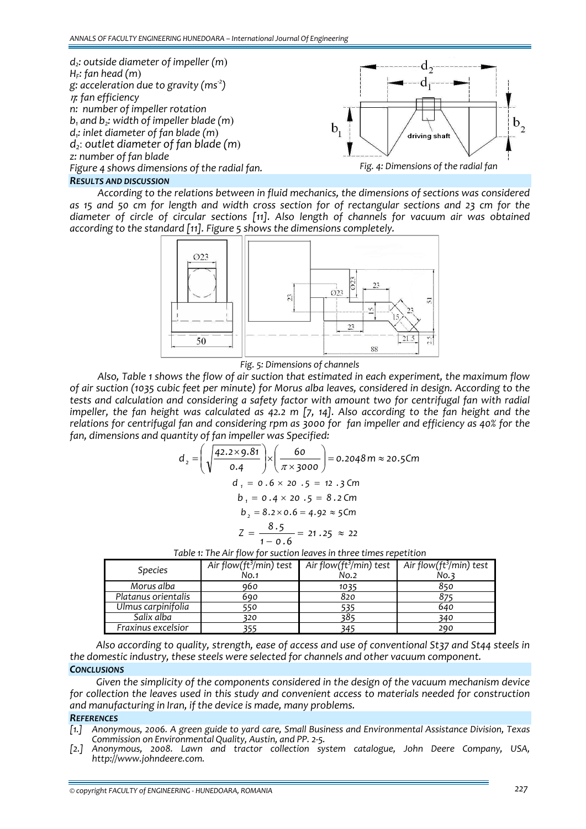

## *RESULTS AND DISCUSSION*

*According to the relations between in fluid mechanics, the dimensions of sections was considered* as 15 and 50 cm for length and width cross section for of rectangular sections and 23 cm for the *diameter of circle of circular sections [11]. Also length of channels for vacuum air was obtained according to the standard [11]. Figure 5 shows the dimensions completely.* 



*Fig. 5: Dimensions of channels*

*Also, Table 1 shows the flow of air suction that estimated in each experiment, the maximum flow* of air suction (1035 cubic feet per minute) for Morus alba leaves, considered in design. According to the *tests and calculation and considering a safety factor with amount two for centrifugal fan with radial* impeller, the fan height was calculated as 42.2 m [7, 14]. Also according to the fan height and the relations for centrifugal fan and considering rpm as 3000 for fan impeller and efficiency as 40% for the *fan, dimensions and quantity of fan impeller was Specified:* 

$$
d_2 = \left(\sqrt{\frac{42.2 \times 9.81}{0.4}}\right) \times \left(\frac{60}{\pi \times 3000}\right) = 0.2048 \text{ m} \approx 20.5 \text{Cm}
$$
  

$$
d_1 = 0.6 \times 20.5 = 12.3 \text{ Cm}
$$
  

$$
b_1 = 0.4 \times 20.5 = 8.2 \text{ Cm}
$$
  

$$
b_2 = 8.2 \times 0.6 = 4.92 \approx 5 \text{ Cm}
$$
  

$$
Z = \frac{8.5}{1 - 0.6} = 21.25 \approx 22
$$

| <b>Species</b>      | Air flow( $ft^3$ /min) test<br>No.1 | Air flow( $ft^3$ /min) test<br>No.2 | Air flow( $ft^3$ /min) test<br>No.3 |
|---------------------|-------------------------------------|-------------------------------------|-------------------------------------|
| Morus alba          | 960                                 | 1035                                | 850                                 |
| Platanus orientalis | 690                                 | 820                                 |                                     |
| Ulmus carpinifolia  | 550                                 | 535                                 | 640                                 |
| Salix alba          | 320                                 | 385                                 | 340                                 |
| Fraxinus excelsior  |                                     | 345                                 | 290                                 |

*Table 1: The Air flow for suction leaves in three times repetition* 

*Also according to quality, strength, ease of access and use of conventional St37 and St44 steels in the domestic industry, these steels were selected for channels and other vacuum component. CONCLUSIONS*

*Given the simplicity of the components considered in the design of the vacuum mechanism device for collection the leaves used in this study and convenient access to materials needed for construction and manufacturing in Iran, if the device is made, many problems.*

#### *REFERENCES*

- *[1.] Anonymous, 2006. A green guide to yard care, Small Business and Environmental Assistance Division, Texas Commission on Environmental Quality, Austin, and PP. 2‐5.*
- *[2.] Anonymous, 2008. Lawn and tractor collection system catalogue, John Deere Company, USA, http://www.johndeere.com.*